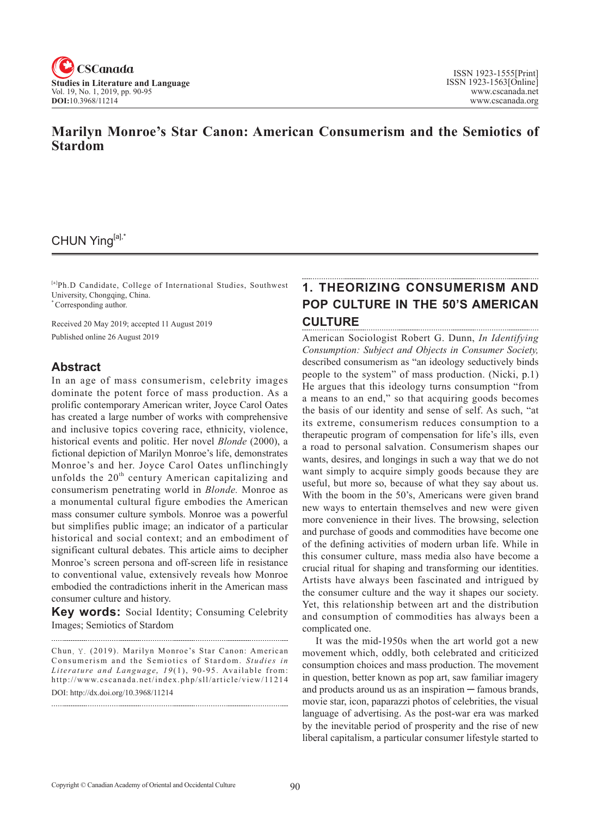

## **Marilyn Monroe's Star Canon: American Consumerism and the Semiotics of Stardom**

## CHUN Ying[a],\*

[a]Ph.D Candidate, College of International Studies, Southwest University, Chongqing, China. \* Corresponding author.

Received 20 May 2019; accepted 11 August 2019 Published online 26 August 2019

### **Abstract**

In an age of mass consumerism, celebrity images dominate the potent force of mass production. As a prolific contemporary American writer, Joyce Carol Oates has created a large number of works with comprehensive and inclusive topics covering race, ethnicity, violence, historical events and politic. Her novel *Blonde* (2000), a fictional depiction of Marilyn Monroe's life, demonstrates Monroe's and her. Joyce Carol Oates unflinchingly unfolds the  $20<sup>th</sup>$  century American capitalizing and consumerism penetrating world in *Blonde.* Monroe as a monumental cultural figure embodies the American mass consumer culture symbols. Monroe was a powerful but simplifies public image; an indicator of a particular historical and social context; and an embodiment of significant cultural debates. This article aims to decipher Monroe's screen persona and off-screen life in resistance to conventional value, extensively reveals how Monroe embodied the contradictions inherit in the American mass consumer culture and history.

**Key words:** Social Identity; Consuming Celebrity Images; Semiotics of Stardom

Chun, Y. (2019). Marilyn Monroe's Star Canon: American Consumerism and the Semiotics of Stardom. *Studies in* Literature and Language, 19(1), 90-95. Available from: http://www.cscanada.net/index.php/sll/article/view/11214 DOI: http://dx.doi.org/10.3968/11214

# **1. Theorizing Consumerism and Pop Culture in the 50's American Culture**

American Sociologist Robert G. Dunn, *In Identifying Consumption: Subject and Objects in Consumer Society,* described consumerism as "an ideology seductively binds people to the system" of mass production. (Nicki, p.1) He argues that this ideology turns consumption "from a means to an end," so that acquiring goods becomes the basis of our identity and sense of self. As such, "at its extreme, consumerism reduces consumption to a therapeutic program of compensation for life's ills, even a road to personal salvation. Consumerism shapes our wants, desires, and longings in such a way that we do not want simply to acquire simply goods because they are useful, but more so, because of what they say about us. With the boom in the 50's, Americans were given brand new ways to entertain themselves and new were given more convenience in their lives. The browsing, selection and purchase of goods and commodities have become one of the defining activities of modern urban life. While in this consumer culture, mass media also have become a crucial ritual for shaping and transforming our identities. Artists have always been fascinated and intrigued by the consumer culture and the way it shapes our society. Yet, this relationship between art and the distribution and consumption of commodities has always been a complicated one.

It was the mid-1950s when the art world got a new movement which, oddly, both celebrated and criticized consumption choices and mass production. The movement in question, better known as pop art, saw familiar imagery and products around us as an inspiration — famous brands, movie star, icon, paparazzi photos of celebrities, the visual language of advertising. As the post-war era was marked by the inevitable period of prosperity and the rise of new liberal capitalism, a particular consumer lifestyle started to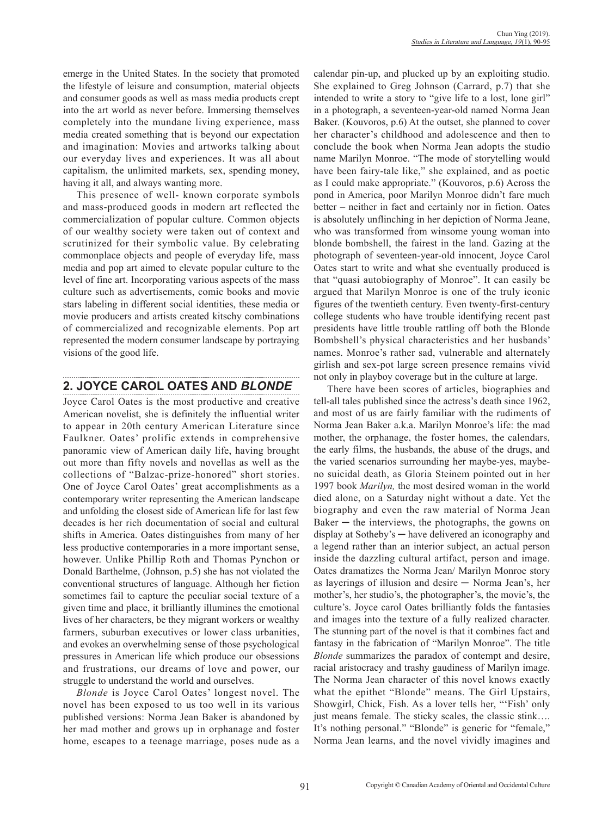emerge in the United States. In the society that promoted the lifestyle of leisure and consumption, material objects and consumer goods as well as mass media products crept into the art world as never before. Immersing themselves completely into the mundane living experience, mass media created something that is beyond our expectation and imagination: Movies and artworks talking about our everyday lives and experiences. It was all about capitalism, the unlimited markets, sex, spending money, having it all, and always wanting more.

This presence of well- known corporate symbols and mass-produced goods in modern art reflected the commercialization of popular culture. Common objects of our wealthy society were taken out of context and scrutinized for their symbolic value. By celebrating commonplace objects and people of everyday life, mass media and pop art aimed to elevate popular culture to the level of fine art. Incorporating various aspects of the mass culture such as advertisements, comic books and movie stars labeling in different social identities, these media or movie producers and artists created kitschy combinations of commercialized and recognizable elements. Pop art represented the modern consumer landscape by portraying visions of the good life.

## **2. Joyce Carol Oates and** *Blonde*

Joyce Carol Oates is the most productive and creative American novelist, she is definitely the influential writer to appear in 20th century American Literature since Faulkner. Oates' prolific extends in comprehensive panoramic view of American daily life, having brought out more than fifty novels and novellas as well as the collections of "Balzac-prize-honored" short stories. One of Joyce Carol Oates' great accomplishments as a contemporary writer representing the American landscape and unfolding the closest side of American life for last few decades is her rich documentation of social and cultural shifts in America. Oates distinguishes from many of her less productive contemporaries in a more important sense, however. Unlike Phillip Roth and Thomas Pynchon or Donald Barthelme, (Johnson, p.5) she has not violated the conventional structures of language. Although her fiction sometimes fail to capture the peculiar social texture of a given time and place, it brilliantly illumines the emotional lives of her characters, be they migrant workers or wealthy farmers, suburban executives or lower class urbanities, and evokes an overwhelming sense of those psychological pressures in American life which produce our obsessions and frustrations, our dreams of love and power, our struggle to understand the world and ourselves.

*Blonde* is Joyce Carol Oates' longest novel. The novel has been exposed to us too well in its various published versions: Norma Jean Baker is abandoned by her mad mother and grows up in orphanage and foster home, escapes to a teenage marriage, poses nude as a

calendar pin-up, and plucked up by an exploiting studio. She explained to Greg Johnson (Carrard, p.7) that she intended to write a story to "give life to a lost, lone girl" in a photograph, a seventeen-year-old named Norma Jean Baker. (Kouvoros, p.6) At the outset, she planned to cover her character's childhood and adolescence and then to conclude the book when Norma Jean adopts the studio name Marilyn Monroe. "The mode of storytelling would have been fairy-tale like," she explained, and as poetic as I could make appropriate." (Kouvoros, p.6) Across the pond in America, poor Marilyn Monroe didn't fare much better – neither in fact and certainly nor in fiction. Oates is absolutely unflinching in her depiction of Norma Jeane, who was transformed from winsome young woman into blonde bombshell, the fairest in the land. Gazing at the photograph of seventeen-year-old innocent, Joyce Carol Oates start to write and what she eventually produced is that "quasi autobiography of Monroe". It can easily be argued that Marilyn Monroe is one of the truly iconic figures of the twentieth century. Even twenty-first-century college students who have trouble identifying recent past presidents have little trouble rattling off both the Blonde Bombshell's physical characteristics and her husbands' names. Monroe's rather sad, vulnerable and alternately girlish and sex-pot large screen presence remains vivid not only in playboy coverage but in the culture at large.

There have been scores of articles, biographies and tell-all tales published since the actress's death since 1962, and most of us are fairly familiar with the rudiments of Norma Jean Baker a.k.a. Marilyn Monroe's life: the mad mother, the orphanage, the foster homes, the calendars, the early films, the husbands, the abuse of the drugs, and the varied scenarios surrounding her maybe-yes, maybeno suicidal death, as Gloria Steinem pointed out in her 1997 book *Marilyn,* the most desired woman in the world died alone, on a Saturday night without a date. Yet the biography and even the raw material of Norma Jean  $Baker - the interviews, the photographs, the gowns on$ display at Sotheby's ─ have delivered an iconography and a legend rather than an interior subject, an actual person inside the dazzling cultural artifact, person and image. Oates dramatizes the Norma Jean/ Marilyn Monroe story as layerings of illusion and desire ─ Norma Jean's, her mother's, her studio's, the photographer's, the movie's, the culture's. Joyce carol Oates brilliantly folds the fantasies and images into the texture of a fully realized character. The stunning part of the novel is that it combines fact and fantasy in the fabrication of "Marilyn Monroe". The title *Blonde* summarizes the paradox of contempt and desire, racial aristocracy and trashy gaudiness of Marilyn image. The Norma Jean character of this novel knows exactly what the epithet "Blonde" means. The Girl Upstairs, Showgirl, Chick, Fish. As a lover tells her, "'Fish' only just means female. The sticky scales, the classic stink…. It's nothing personal." "Blonde" is generic for "female," Norma Jean learns, and the novel vividly imagines and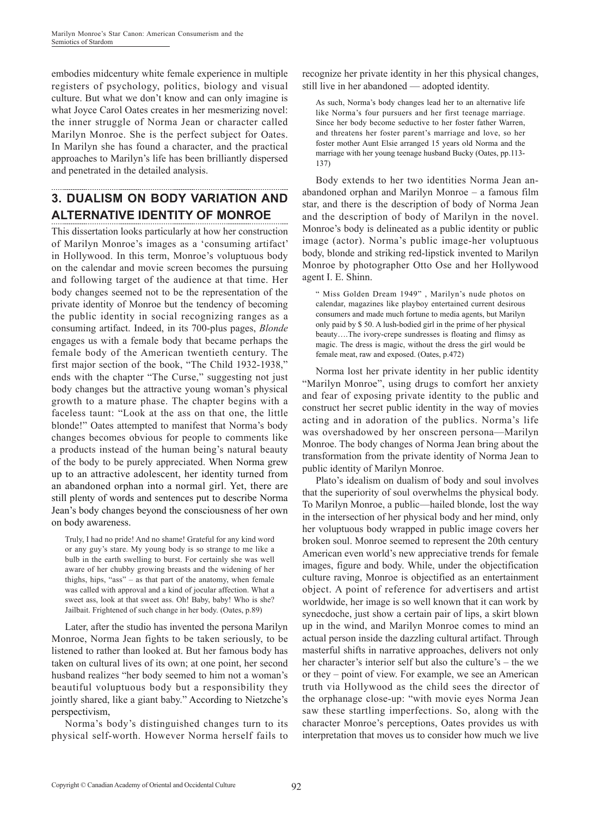embodies midcentury white female experience in multiple registers of psychology, politics, biology and visual culture. But what we don't know and can only imagine is what Joyce Carol Oates creates in her mesmerizing novel: the inner struggle of Norma Jean or character called Marilyn Monroe. She is the perfect subject for Oates. In Marilyn she has found a character, and the practical approaches to Marilyn's life has been brilliantly dispersed and penetrated in the detailed analysis.

# **3. Dualism on Body Variation and Alternative Identity of Monroe**

This dissertation looks particularly at how her construction of Marilyn Monroe's images as a 'consuming artifact' in Hollywood. In this term, Monroe's voluptuous body on the calendar and movie screen becomes the pursuing and following target of the audience at that time. Her body changes seemed not to be the representation of the private identity of Monroe but the tendency of becoming the public identity in social recognizing ranges as a consuming artifact. Indeed, in its 700-plus pages, *Blonde*  engages us with a female body that became perhaps the female body of the American twentieth century. The first major section of the book, "The Child 1932-1938," ends with the chapter "The Curse," suggesting not just body changes but the attractive young woman's physical growth to a mature phase. The chapter begins with a faceless taunt: "Look at the ass on that one, the little blonde!" Oates attempted to manifest that Norma's body changes becomes obvious for people to comments like a products instead of the human being's natural beauty of the body to be purely appreciated. When Norma grew up to an attractive adolescent, her identity turned from an abandoned orphan into a normal girl. Yet, there are still plenty of words and sentences put to describe Norma Jean's body changes beyond the consciousness of her own on body awareness.

Truly, I had no pride! And no shame! Grateful for any kind word or any guy's stare. My young body is so strange to me like a bulb in the earth swelling to burst. For certainly she was well aware of her chubby growing breasts and the widening of her thighs, hips, "ass" – as that part of the anatomy, when female was called with approval and a kind of jocular affection. What a sweet ass, look at that sweet ass. Oh! Baby, baby! Who is she? Jailbait. Frightened of such change in her body. (Oates, p.89)

Later, after the studio has invented the persona Marilyn Monroe, Norma Jean fights to be taken seriously, to be listened to rather than looked at. But her famous body has taken on cultural lives of its own; at one point, her second husband realizes "her body seemed to him not a woman's beautiful voluptuous body but a responsibility they jointly shared, like a giant baby." According to Nietzche's perspectivism,

Norma's body's distinguished changes turn to its physical self-worth. However Norma herself fails to recognize her private identity in her this physical changes, still live in her abandoned — adopted identity.

As such, Norma's body changes lead her to an alternative life like Norma's four pursuers and her first teenage marriage. Since her body become seductive to her foster father Warren, and threatens her foster parent's marriage and love, so her foster mother Aunt Elsie arranged 15 years old Norma and the marriage with her young teenage husband Bucky (Oates, pp.113- 137)

Body extends to her two identities Norma Jean anabandoned orphan and Marilyn Monroe – a famous film star, and there is the description of body of Norma Jean and the description of body of Marilyn in the novel. Monroe's body is delineated as a public identity or public image (actor). Norma's public image-her voluptuous body, blonde and striking red-lipstick invented to Marilyn Monroe by photographer Otto Ose and her Hollywood agent I. E. Shinn.

" Miss Golden Dream 1949" , Marilyn's nude photos on calendar, magazines like playboy entertained current desirous consumers and made much fortune to media agents, but Marilyn only paid by \$ 50. A lush-bodied girl in the prime of her physical beauty….The ivory-crepe sundresses is floating and flimsy as magic. The dress is magic, without the dress the girl would be female meat, raw and exposed. (Oates, p.472)

Norma lost her private identity in her public identity "Marilyn Monroe", using drugs to comfort her anxiety and fear of exposing private identity to the public and construct her secret public identity in the way of movies acting and in adoration of the publics. Norma's life was overshadowed by her onscreen persona—Marilyn Monroe. The body changes of Norma Jean bring about the transformation from the private identity of Norma Jean to public identity of Marilyn Monroe.

Plato's idealism on dualism of body and soul involves that the superiority of soul overwhelms the physical body. To Marilyn Monroe, a public—hailed blonde, lost the way in the intersection of her physical body and her mind, only her voluptuous body wrapped in public image covers her broken soul. Monroe seemed to represent the 20th century American even world's new appreciative trends for female images, figure and body. While, under the objectification culture raving, Monroe is objectified as an entertainment object. A point of reference for advertisers and artist worldwide, her image is so well known that it can work by synecdoche, just show a certain pair of lips, a skirt blown up in the wind, and Marilyn Monroe comes to mind an actual person inside the dazzling cultural artifact. Through masterful shifts in narrative approaches, delivers not only her character's interior self but also the culture's – the we or they – point of view. For example, we see an American truth via Hollywood as the child sees the director of the orphanage close-up: "with movie eyes Norma Jean saw these startling imperfections. So, along with the character Monroe's perceptions, Oates provides us with interpretation that moves us to consider how much we live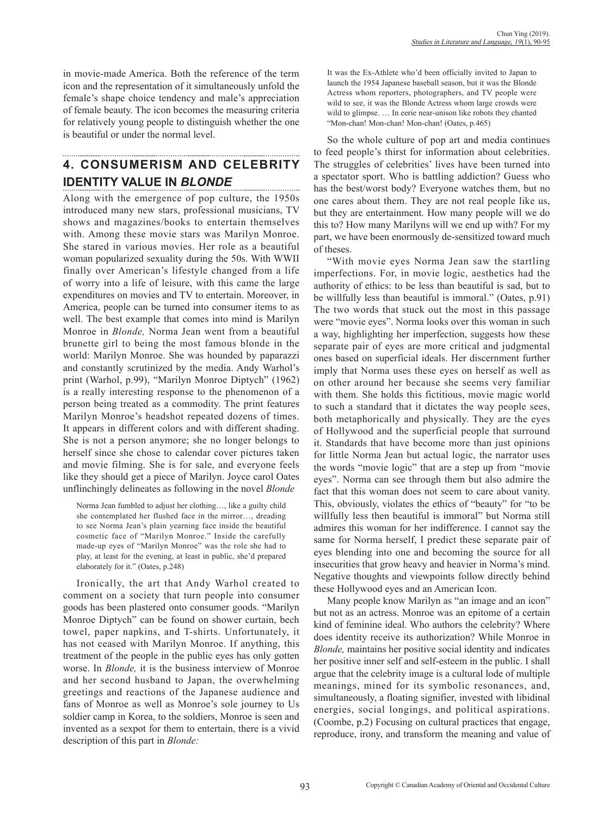in movie-made America. Both the reference of the term icon and the representation of it simultaneously unfold the female's shape choice tendency and male's appreciation of female beauty. The icon becomes the measuring criteria for relatively young people to distinguish whether the one is beautiful or under the normal level.

# **4. Consumerism and Celebrity Identity Value in** *Blonde*

Along with the emergence of pop culture, the 1950s introduced many new stars, professional musicians, TV shows and magazines/books to entertain themselves with. Among these movie stars was Marilyn Monroe. She stared in various movies. Her role as a beautiful woman popularized sexuality during the 50s. With WWII finally over American's lifestyle changed from a life of worry into a life of leisure, with this came the large expenditures on movies and TV to entertain. Moreover, in America, people can be turned into consumer items to as well. The best example that comes into mind is Marilyn Monroe in *Blonde,* Norma Jean went from a beautiful brunette girl to being the most famous blonde in the world: Marilyn Monroe. She was hounded by paparazzi and constantly scrutinized by the media. Andy Warhol's print (Warhol, p.99), "Marilyn Monroe Diptych" (1962) is a really interesting response to the phenomenon of a person being treated as a commodity. The print features Marilyn Monroe's headshot repeated dozens of times. It appears in different colors and with different shading. She is not a person anymore; she no longer belongs to herself since she chose to calendar cover pictures taken and movie filming. She is for sale, and everyone feels like they should get a piece of Marilyn. Joyce carol Oates unflinchingly delineates as following in the novel *Blonde*

Norma Jean fumbled to adjust her clothing…, like a guilty child she contemplated her flushed face in the mirror…, dreading to see Norma Jean's plain yearning face inside the beautiful cosmetic face of "Marilyn Monroe." Inside the carefully made-up eyes of "Marilyn Monroe" was the role she had to play, at least for the evening, at least in public, she'd prepared elaborately for it." (Oates, p.248)

Ironically, the art that Andy Warhol created to comment on a society that turn people into consumer goods has been plastered onto consumer goods. "Marilyn Monroe Diptych" can be found on shower curtain, bech towel, paper napkins, and T-shirts. Unfortunately, it has not ceased with Marilyn Monroe. If anything, this treatment of the people in the public eyes has only gotten worse. In *Blonde,* it is the business interview of Monroe and her second husband to Japan, the overwhelming greetings and reactions of the Japanese audience and fans of Monroe as well as Monroe's sole journey to Us soldier camp in Korea, to the soldiers, Monroe is seen and invented as a sexpot for them to entertain, there is a vivid description of this part in *Blonde:*

It was the Ex-Athlete who'd been officially invited to Japan to launch the 1954 Japanese baseball season, but it was the Blonde Actress whom reporters, photographers, and TV people were wild to see, it was the Blonde Actress whom large crowds were wild to glimpse. … In eerie near-unison like robots they chanted "Mon-chan! Mon-chan! Mon-chan! (Oates, p.465)

So the whole culture of pop art and media continues to feed people's thirst for information about celebrities. The struggles of celebrities' lives have been turned into a spectator sport. Who is battling addiction? Guess who has the best/worst body? Everyone watches them, but no one cares about them. They are not real people like us, but they are entertainment. How many people will we do this to? How many Marilyns will we end up with? For my part, we have been enormously de-sensitized toward much of theses.

"With movie eyes Norma Jean saw the startling imperfections. For, in movie logic, aesthetics had the authority of ethics: to be less than beautiful is sad, but to be willfully less than beautiful is immoral." (Oates, p.91) The two words that stuck out the most in this passage were "movie eyes". Norma looks over this woman in such a way, highlighting her imperfection, suggests how these separate pair of eyes are more critical and judgmental ones based on superficial ideals. Her discernment further imply that Norma uses these eyes on herself as well as on other around her because she seems very familiar with them. She holds this fictitious, movie magic world to such a standard that it dictates the way people sees, both metaphorically and physically. They are the eyes of Hollywood and the superficial people that surround it. Standards that have become more than just opinions for little Norma Jean but actual logic, the narrator uses the words "movie logic" that are a step up from "movie eyes". Norma can see through them but also admire the fact that this woman does not seem to care about vanity. This, obviously, violates the ethics of "beauty" for "to be willfully less then beautiful is immoral" but Norma still admires this woman for her indifference. I cannot say the same for Norma herself, I predict these separate pair of eyes blending into one and becoming the source for all insecurities that grow heavy and heavier in Norma's mind. Negative thoughts and viewpoints follow directly behind these Hollywood eyes and an American Icon.

Many people know Marilyn as "an image and an icon" but not as an actress. Monroe was an epitome of a certain kind of feminine ideal. Who authors the celebrity? Where does identity receive its authorization? While Monroe in *Blonde,* maintains her positive social identity and indicates her positive inner self and self-esteem in the public. I shall argue that the celebrity image is a cultural lode of multiple meanings, mined for its symbolic resonances, and, simultaneously, a floating signifier, invested with libidinal energies, social longings, and political aspirations. (Coombe, p.2) Focusing on cultural practices that engage, reproduce, irony, and transform the meaning and value of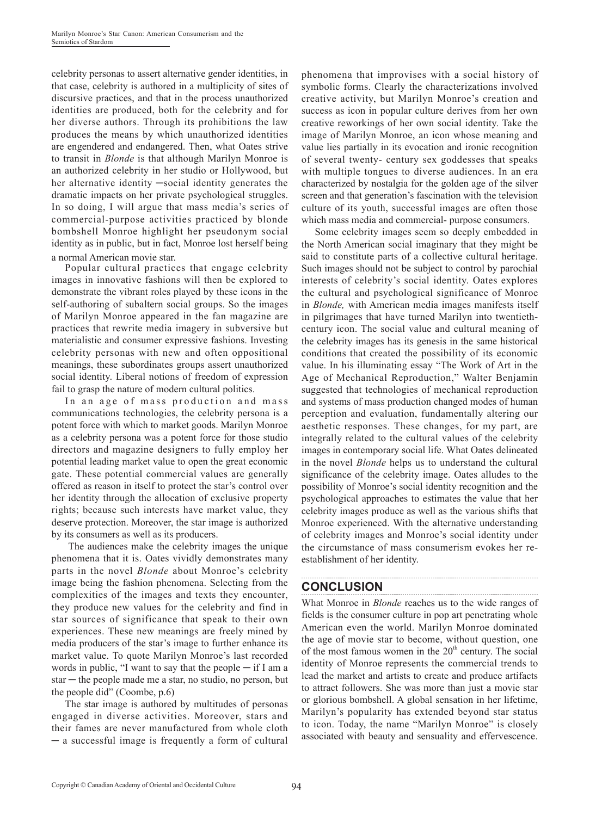celebrity personas to assert alternative gender identities, in that case, celebrity is authored in a multiplicity of sites of discursive practices, and that in the process unauthorized identities are produced, both for the celebrity and for her diverse authors. Through its prohibitions the law produces the means by which unauthorized identities are engendered and endangered. Then, what Oates strive to transit in *Blonde* is that although Marilyn Monroe is an authorized celebrity in her studio or Hollywood, but her alternative identity —social identity generates the dramatic impacts on her private psychological struggles. In so doing, I will argue that mass media's series of commercial-purpose activities practiced by blonde bombshell Monroe highlight her pseudonym social identity as in public, but in fact, Monroe lost herself being a normal American movie star.

Popular cultural practices that engage celebrity images in innovative fashions will then be explored to demonstrate the vibrant roles played by these icons in the self-authoring of subaltern social groups. So the images of Marilyn Monroe appeared in the fan magazine are practices that rewrite media imagery in subversive but materialistic and consumer expressive fashions. Investing celebrity personas with new and often oppositional meanings, these subordinates groups assert unauthorized social identity. Liberal notions of freedom of expression fail to grasp the nature of modern cultural politics.

In an age of mass production and mass communications technologies, the celebrity persona is a potent force with which to market goods. Marilyn Monroe as a celebrity persona was a potent force for those studio directors and magazine designers to fully employ her potential leading market value to open the great economic gate. These potential commercial values are generally offered as reason in itself to protect the star's control over her identity through the allocation of exclusive property rights; because such interests have market value, they deserve protection. Moreover, the star image is authorized by its consumers as well as its producers.

 The audiences make the celebrity images the unique phenomena that it is. Oates vividly demonstrates many parts in the novel *Blonde* about Monroe's celebrity image being the fashion phenomena. Selecting from the complexities of the images and texts they encounter, they produce new values for the celebrity and find in star sources of significance that speak to their own experiences. These new meanings are freely mined by media producers of the star's image to further enhance its market value. To quote Marilyn Monroe's last recorded words in public, "I want to say that the people  $-$  if I am a star — the people made me a star, no studio, no person, but the people did" (Coombe, p.6)

The star image is authored by multitudes of personas engaged in diverse activities. Moreover, stars and their fames are never manufactured from whole cloth ─ a successful image is frequently a form of cultural phenomena that improvises with a social history of symbolic forms. Clearly the characterizations involved creative activity, but Marilyn Monroe's creation and success as icon in popular culture derives from her own creative reworkings of her own social identity. Take the image of Marilyn Monroe, an icon whose meaning and value lies partially in its evocation and ironic recognition of several twenty- century sex goddesses that speaks with multiple tongues to diverse audiences. In an era characterized by nostalgia for the golden age of the silver screen and that generation's fascination with the television culture of its youth, successful images are often those which mass media and commercial- purpose consumers.

Some celebrity images seem so deeply embedded in the North American social imaginary that they might be said to constitute parts of a collective cultural heritage. Such images should not be subject to control by parochial interests of celebrity's social identity. Oates explores the cultural and psychological significance of Monroe in *Blonde,* with American media images manifests itself in pilgrimages that have turned Marilyn into twentiethcentury icon. The social value and cultural meaning of the celebrity images has its genesis in the same historical conditions that created the possibility of its economic value. In his illuminating essay "The Work of Art in the Age of Mechanical Reproduction," Walter Benjamin suggested that technologies of mechanical reproduction and systems of mass production changed modes of human perception and evaluation, fundamentally altering our aesthetic responses. These changes, for my part, are integrally related to the cultural values of the celebrity images in contemporary social life. What Oates delineated in the novel *Blonde* helps us to understand the cultural significance of the celebrity image. Oates alludes to the possibility of Monroe's social identity recognition and the psychological approaches to estimates the value that her celebrity images produce as well as the various shifts that Monroe experienced. With the alternative understanding of celebrity images and Monroe's social identity under the circumstance of mass consumerism evokes her reestablishment of her identity.

### **CONCLUSION**

What Monroe in *Blonde* reaches us to the wide ranges of fields is the consumer culture in pop art penetrating whole American even the world. Marilyn Monroe dominated the age of movie star to become, without question, one of the most famous women in the  $20<sup>th</sup>$  century. The social identity of Monroe represents the commercial trends to lead the market and artists to create and produce artifacts to attract followers. She was more than just a movie star or glorious bombshell. A global sensation in her lifetime, Marilyn's popularity has extended beyond star status to icon. Today, the name "Marilyn Monroe" is closely associated with beauty and sensuality and effervescence.